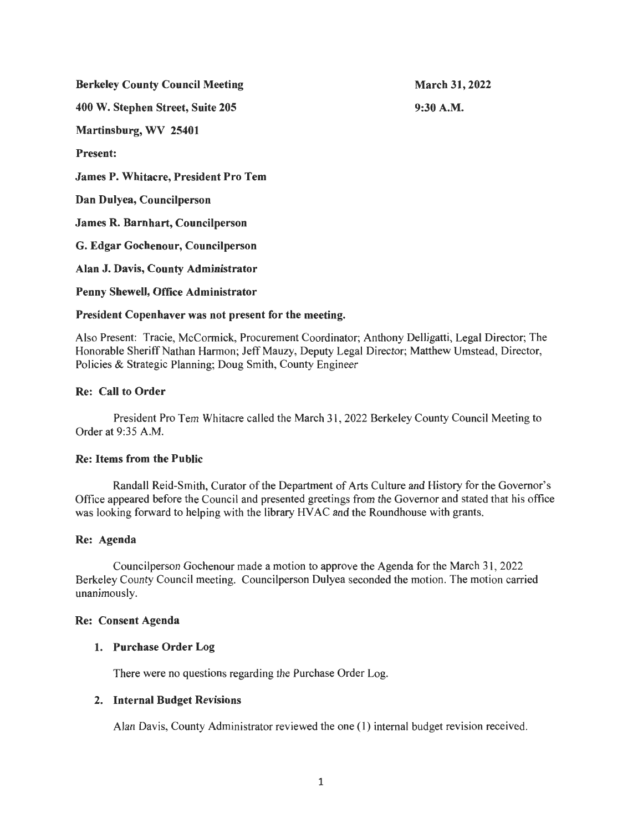Berkeley County Council Meeting 400 W. Stephen Street, Suite 205 Martinsburg, WV 25401 Present: James P. Whitacre, President Pro Tern Dan Dulyea, Councilperson James R. Barnhart, Councilperson G. Edgar Gochenour, Councilperson Alan J. Davis, County Administrator Penny Shewell, Office Administrator March 31, 2022 9:30A.M.

## President Copenhaver was not present for the meeting.

Also Present: Tracie, McCormick, Procurement Coordinator; Anthony Delligatti, Legal Director; The Honorable Sheriff Nathan Harmon; Jeff Mauzy, Deputy Legal Director; Matthew Umstead, Director, Policies & Strategic Planning; Doug Smith, County Engineer

## Re: Call to Order

President Pro Tern Whitacre called the March 31 , 2022 Berkeley County Council Meeting to Order at 9:35 A.M.

#### Re: Items from the Public

Randall Reid-Smith, Curator of the Department of Arts Culture and History for the Governor's Office appeared before the Council and presented greetings from the Governor and stated that his office was looking forward to helping with the library HV AC and the Roundhouse with grants.

#### Re: Agenda

Councilperson Gochenour made a motion to approve the Agenda for the March 31 , 2022 Berkeley County Council meeting. Councilperson Dulyea seconded the motion. The motion carried unanimously.

#### Re: Consent Agenda

#### 1. Purchase Order Log

There were no questions regarding the Purchase Order Log.

#### 2. Internal Budget Revisions

Alan Davis, County Administrator reviewed the one (I) internal budget revision received.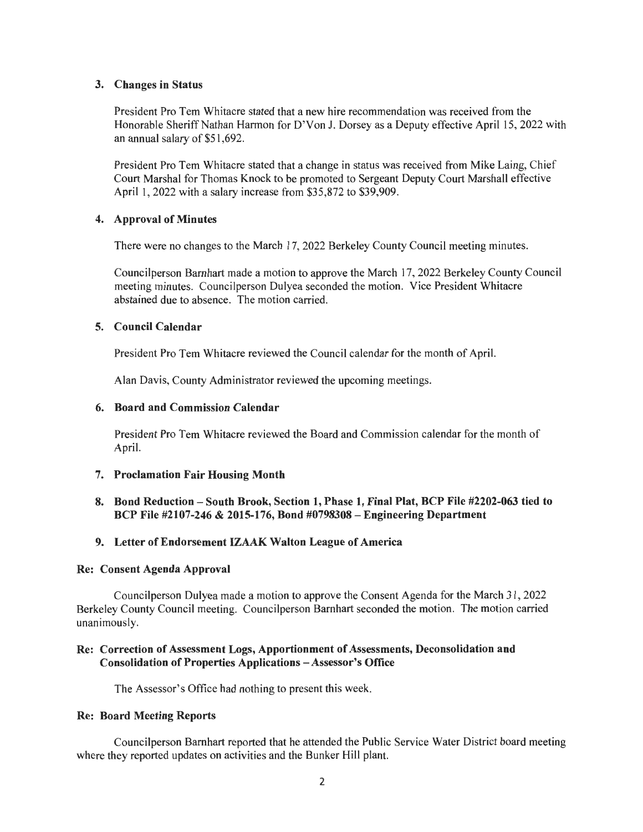## 3. Changes in Status

President Pro Tern Whitacre stated that a new hire recommendation was received from the Honorable Sheriff Nathan Harmon for D'Von J. Dorsey as a Deputy effective April 15, 2022 with an annual salary of \$51 ,692.

President Pro Tern Whitacre stated that a change in status was received from Mike Laing, Chief Court Marshal for Thomas Knock to be promoted to Sergeant Deputy Court Marshall effective April 1, 2022 with a salary increase from \$35,872 to \$39,909.

## 4. Approval of Minutes

There were no changes to the March 17, 2022 Berkeley County Council meeting minutes.

Councilperson Barnhart made a motion to approve the March 17, 2022 Berkeley County Council meeting minutes. Councilperson Dulyea seconded the motion. Vice President Whitacre abstained due to absence. The motion carried.

## 5. Council Calendar

President Pro Tem Whitacre reviewed the Council calendar for the month of April.

Alan Davis, County Administrator reviewed the upcoming meetings.

## 6. Board and Commission Calendar

President Pro Tern Whitacre reviewed the Board and Commission calendar for the month of April.

## 7. Proclamation Fair Housing Month

8. Bond Reduction - South Brook, Section 1, Phase 1, Final Plat, BCP File #2202-063 tied to BCP File #2107-246 & 2015-176, Bond #0798308 - Engineering Department

## 9. Letter of Endorsement IZAAK Walton League of America

#### Re: Consent Agenda Approval

Councilperson Dulyea made a motion to approve the Consent Agenda for the March 31 , 2022 Berkeley County Council meeting. Councilperson Barnhart seconded the motion. The motion carried unanimously.

## Re: Correction of Assessment Logs, Apportionment of Assessments, Deconsolidation and Consolidation of Properties Applications - Assessor's Office

The Assessor's Office had nothing to present this week.

## Re: Board Meeting Reports

Councilperson Barnhart reported that he attended the Public Service Water District board meeting where they reported updates on activities and the Bunker Hill plant.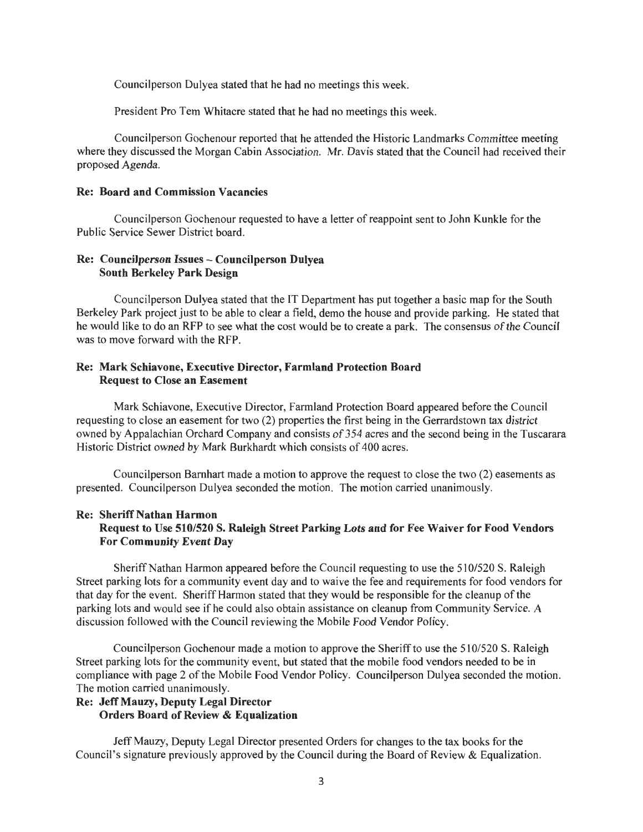Councilperson Dulyea stated that he had no meetings this week.

President Pro Tem Whitacre stated that he had no meetings this week.

Councilperson Gochenour reported that he attended the Historic Landmarks Committee meeting where they discussed the Morgan Cabin Association. Mr. Davis stated that the Council had received their proposed Agenda.

#### Re: Board and Commission Vacancies

Councilperson Gochenour requested to have a letter of reappoint sent to John Kunkle for the Public Service Sewer District board.

## Re: Councilperson Issues - Councilperson Dulyea South Berkeley Park Design

Councilperson Dulyea stated that the IT Department has put together a basic map for the South Berkeley Park project just to be able to clear a field, demo the house and provide parking. He stated that he would like to do an RFP to see what the cost would be to create a park. The consensus of the Council was to move forward with the RFP.

## Re: Mark Schiavone, Executive Director, Farmland Protection Board Request to Close an Easement

Mark Schiavone, Executive Director, Farmland Protection Board appeared before the Council requesting to close an easement for two (2) properties the first being in the Gerrardstown tax district owned by Appalachian Orchard Company and consists of 354 acres and the second being in the Tuscarara Historic District owned by Mark Burkhardt which consists of 400 acres.

Councilperson Barnhart made a motion to approve the request to close the two (2) easements as presented. Councilperson Dulyea seconded the motion. The motion carried unanimously.

## Re: Sheriff Nathan Harmon Request to Use 510/520 S. Raleigh Street Parking Lots and for Fee Waiver for Food Vendors For Community Event Day

Sheriff Nathan Harmon appeared before the Council requesting to use the 510/520 S. Raleigh Street parking lots for a community event day and to waive the fee and requirements for food vendors for that day for the event. Sheriff Harmon stated that they would be responsible for the cleanup of the parking lots and would see if he could also obtain assistance on cleanup from Community Service. A discussion followed with the Council reviewing the Mobile Food Vendor Policy.

Councilperson Gochenour made a motion to approve the Sheriff to use the 510/520 S. Raleigh Street parking lots for the community event, but stated that the mobile food vendors needed to be in compliance with page 2 of the Mobile Food Vendor Policy. Councilperson Dulyea seconded the motion. The motion carried unanimously.

### Re: Jeff Mauzy, Deputy Legal Director Orders Board of Review & Equalization

Jeff Mauzy, Deputy Legal Director presented Orders for changes to the tax books for the Council's signature previously approved by the Council during the Board of Review & Equalization.